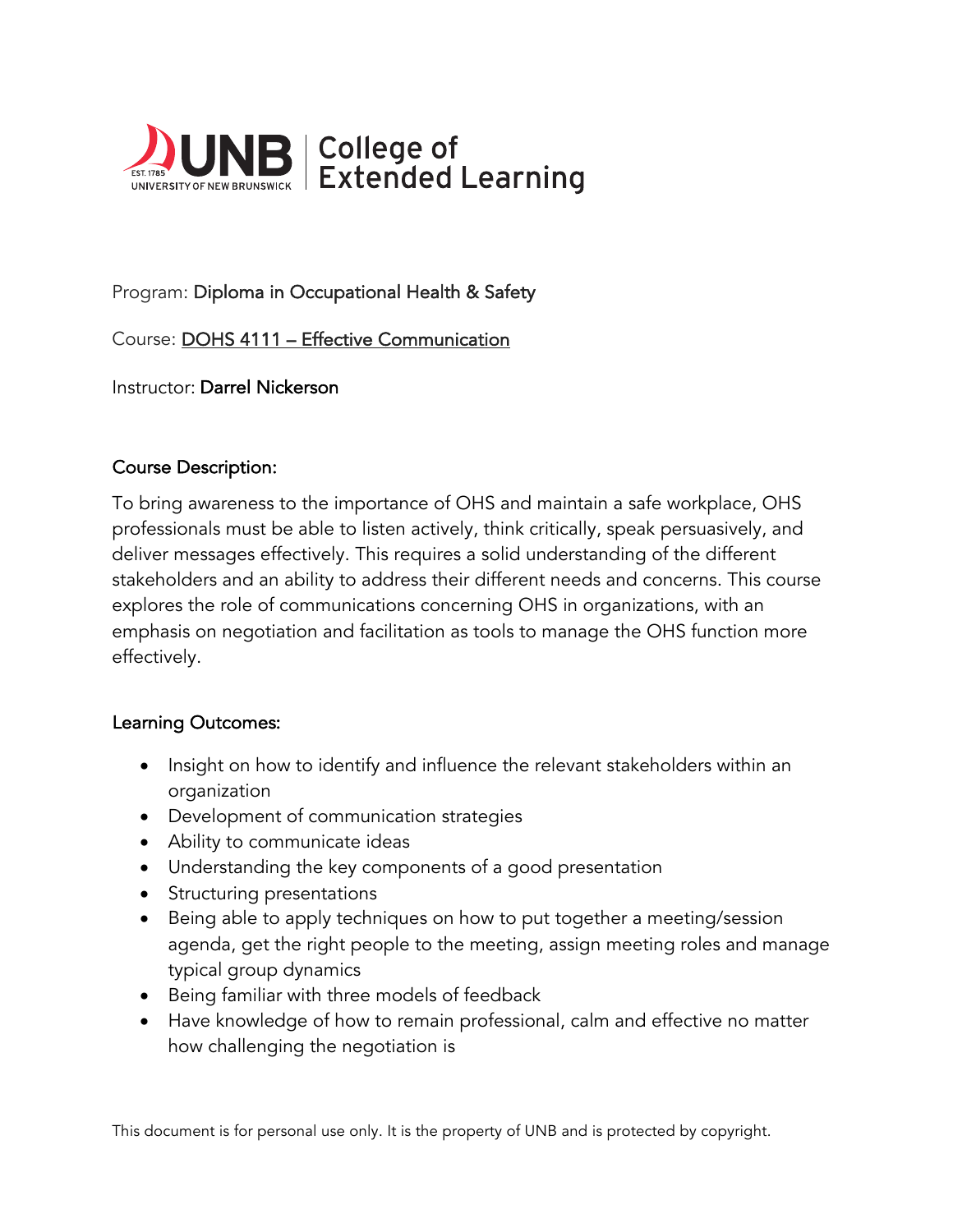

# Program: Diploma in Occupational Health & Safety

Course: DOHS 4111 – Effective Communication

Instructor: Darrel Nickerson

#### Course Description:

To bring awareness to the importance of OHS and maintain a safe workplace, OHS professionals must be able to listen actively, think critically, speak persuasively, and deliver messages effectively. This requires a solid understanding of the different stakeholders and an ability to address their different needs and concerns. This course explores the role of communications concerning OHS in organizations, with an emphasis on negotiation and facilitation as tools to manage the OHS function more effectively.

#### Learning Outcomes:

- Insight on how to identify and influence the relevant stakeholders within an organization
- Development of communication strategies
- Ability to communicate ideas
- Understanding the key components of a good presentation
- Structuring presentations
- Being able to apply techniques on how to put together a meeting/session agenda, get the right people to the meeting, assign meeting roles and manage typical group dynamics
- Being familiar with three models of feedback
- Have knowledge of how to remain professional, calm and effective no matter how challenging the negotiation is

This document is for personal use only. It is the property of UNB and is protected by copyright.